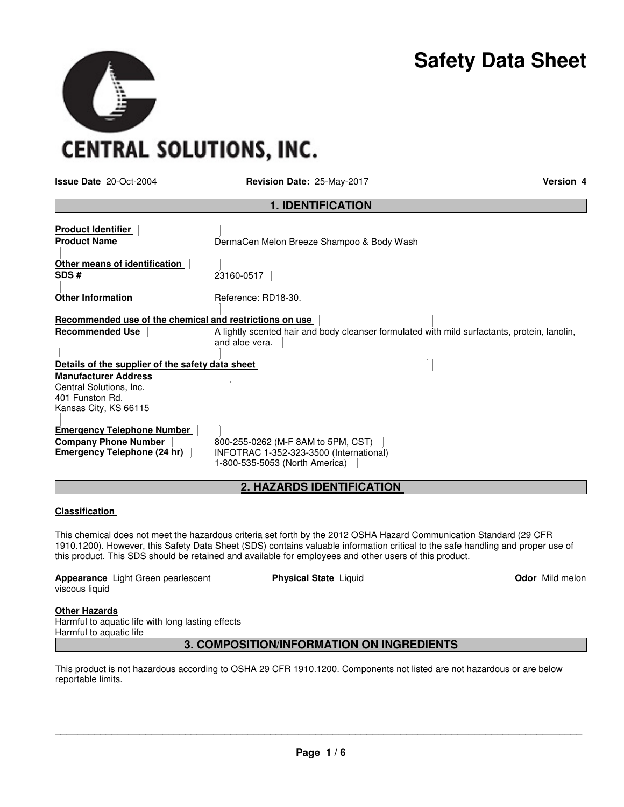# **Safety Data Sheet**

**CENTRAL SOLUTIONS, INC.** 

**Issue Date** 20-Oct-2004 **Revision Date:** 25-May-2017 **Version 4**

| <b>1. IDENTIFICATION</b>                                                                           |                                                                                                                 |  |  |
|----------------------------------------------------------------------------------------------------|-----------------------------------------------------------------------------------------------------------------|--|--|
| <b>Product Identifier</b><br><b>Product Name</b>                                                   | DermaCen Melon Breeze Shampoo & Body Wash                                                                       |  |  |
| Other means of identification<br>SDS#                                                              | 23160-0517                                                                                                      |  |  |
| <b>Other Information</b>                                                                           | Reference: RD18-30.                                                                                             |  |  |
| Recommended use of the chemical and restrictions on use                                            |                                                                                                                 |  |  |
| <b>Recommended Use</b>                                                                             | A lightly scented hair and body cleanser formulated with mild surfactants, protein, lanolin,<br>and aloe vera.  |  |  |
| Details of the supplier of the safety data sheet                                                   |                                                                                                                 |  |  |
| <b>Manufacturer Address</b><br>Central Solutions, Inc.<br>401 Funston Rd.<br>Kansas City, KS 66115 |                                                                                                                 |  |  |
| <b>Emergency Telephone Number</b><br><b>Company Phone Number</b><br>Emergency Telephone (24 hr)    | 800-255-0262 (M-F 8AM to 5PM, CST)<br>INFOTRAC 1-352-323-3500 (International)<br>1-800-535-5053 (North America) |  |  |

# **2. HAZARDS IDENTIFICATION**

#### **Classification**

This chemical does not meet the hazardous criteria set forth by the 2012 OSHA Hazard Communication Standard (29 CFR 1910.1200). However, this Safety Data Sheet (SDS) contains valuable information critical to the safe handling and proper use of this product. This SDS should be retained and available for employees and other users of this product.

**Appearance** Light Green pearlescent viscous liquid

**Physical State Liquid Contract Contract Contract Contract Contract Contract Contract Contract Contract Contract Contract Contract Contract Contract Contract Contract Contract Contract Contract Contract Contract Contract C** 

# **Other Hazards**

Harmful to aquatic life with long lasting effects Harmful to aquatic life

# **3. COMPOSITION/INFORMATION ON INGREDIENTS**

This product is not hazardous according to OSHA 29 CFR 1910.1200. Components not listed are not hazardous or are below reportable limits.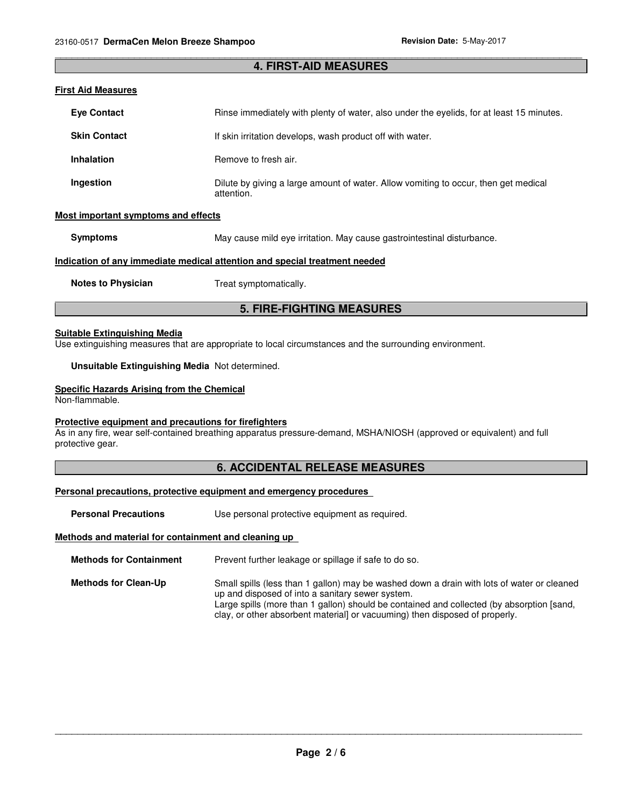# \_\_\_\_\_\_\_\_\_\_\_\_\_\_\_\_\_\_\_\_\_\_\_\_\_\_\_\_\_\_\_\_\_\_\_\_\_\_\_\_\_\_\_\_\_\_\_\_\_\_\_\_\_\_\_\_\_\_\_\_\_\_\_\_\_\_\_\_\_\_\_\_\_\_\_\_\_\_\_\_\_\_\_\_\_\_\_\_\_\_\_\_\_ **4. FIRST-AID MEASURES**

#### **First Aid Measures**

| <b>Eye Contact</b>                                                         | Rinse immediately with plenty of water, also under the evelids, for at least 15 minutes.          |  |  |
|----------------------------------------------------------------------------|---------------------------------------------------------------------------------------------------|--|--|
| <b>Skin Contact</b>                                                        | If skin irritation develops, wash product off with water.                                         |  |  |
| <b>Inhalation</b>                                                          | Remove to fresh air.                                                                              |  |  |
| Ingestion                                                                  | Dilute by giving a large amount of water. Allow vomiting to occur, then get medical<br>attention. |  |  |
| Most important symptoms and effects                                        |                                                                                                   |  |  |
| <b>Symptoms</b>                                                            | May cause mild eye irritation. May cause gastrointestinal disturbance.                            |  |  |
| Indication of any immediate medical attention and special treatment needed |                                                                                                   |  |  |

**Notes to Physician Treat symptomatically.** 

# **5. FIRE-FIGHTING MEASURES**

#### **Suitable Extinguishing Media**

Use extinguishing measures that are appropriate to local circumstances and the surrounding environment.

**Unsuitable Extinguishing Media** Not determined.

#### **Specific Hazards Arising from the Chemical**

Non-flammable.

#### **Protective equipment and precautions for firefighters**

As in any fire, wear self-contained breathing apparatus pressure-demand, MSHA/NIOSH (approved or equivalent) and full protective gear.

# **6. ACCIDENTAL RELEASE MEASURES**

#### **Personal precautions, protective equipment and emergency procedures**

**Personal Precautions Use personal protective equipment as required.** 

#### **Methods and material for containment and cleaning up**

**Methods for Containment** Prevent further leakage or spillage if safe to do so.

**Methods for Clean-Up** Small spills (less than 1 gallon) may be washed down a drain with lots of water or cleaned up and disposed of into a sanitary sewer system. Large spills (more than 1 gallon) should be contained and collected (by absorption [sand, clay, or other absorbent material] or vacuuming) then disposed of properly.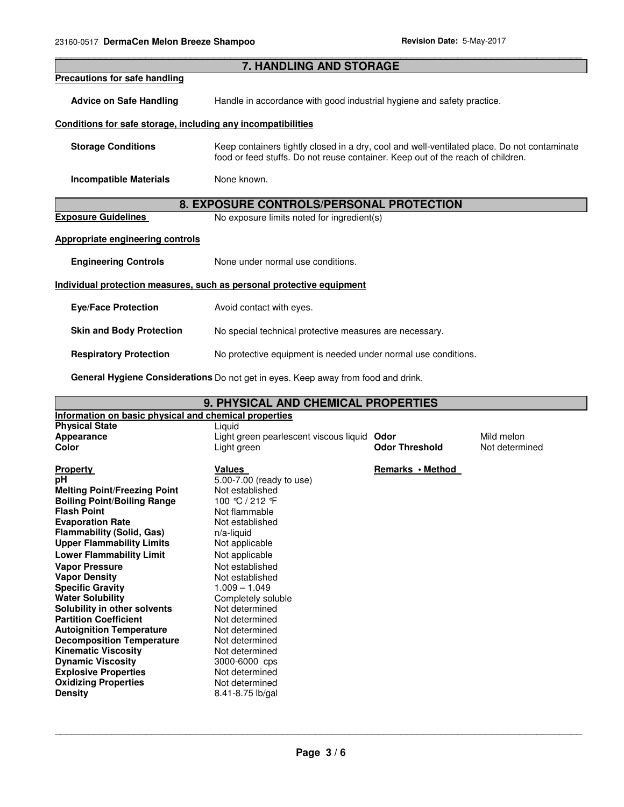| <b>7. HANDLING AND STORAGE</b>                                           |                                                                                                                                                                                |  |  |  |
|--------------------------------------------------------------------------|--------------------------------------------------------------------------------------------------------------------------------------------------------------------------------|--|--|--|
| <b>Precautions for safe handling</b>                                     |                                                                                                                                                                                |  |  |  |
| <b>Advice on Safe Handling</b>                                           | Handle in accordance with good industrial hygiene and safety practice.                                                                                                         |  |  |  |
| Conditions for safe storage, including any incompatibilities             |                                                                                                                                                                                |  |  |  |
| <b>Storage Conditions</b>                                                | Keep containers tightly closed in a dry, cool and well-ventilated place. Do not contaminate<br>food or feed stuffs. Do not reuse container. Keep out of the reach of children. |  |  |  |
| <b>Incompatible Materials</b>                                            | None known.                                                                                                                                                                    |  |  |  |
| <b>8. EXPOSURE CONTROLS/PERSONAL PROTECTION</b>                          |                                                                                                                                                                                |  |  |  |
| <b>Exposure Guidelines</b><br>No exposure limits noted for ingredient(s) |                                                                                                                                                                                |  |  |  |
| <b>Appropriate engineering controls</b>                                  |                                                                                                                                                                                |  |  |  |
| <b>Engineering Controls</b>                                              | None under normal use conditions.                                                                                                                                              |  |  |  |
| Individual protection measures, such as personal protective equipment    |                                                                                                                                                                                |  |  |  |
| <b>Eye/Face Protection</b>                                               | Avoid contact with eyes.                                                                                                                                                       |  |  |  |
| <b>Skin and Body Protection</b>                                          | No special technical protective measures are necessary.                                                                                                                        |  |  |  |
| <b>Respiratory Protection</b>                                            | No protective equipment is needed under normal use conditions.                                                                                                                 |  |  |  |
|                                                                          |                                                                                                                                                                                |  |  |  |

\_\_\_\_\_\_\_\_\_\_\_\_\_\_\_\_\_\_\_\_\_\_\_\_\_\_\_\_\_\_\_\_\_\_\_\_\_\_\_\_\_\_\_\_\_\_\_\_\_\_\_\_\_\_\_\_\_\_\_\_\_\_\_\_\_\_\_\_\_\_\_\_\_\_\_\_\_\_\_\_\_\_\_\_\_\_\_\_\_\_\_\_\_

**General Hygiene Considerations** Do not get in eyes. Keep away from food and drink.

| <b>9. PHYSICAL AND CHEMICAL PROPERTIES</b>            |                                        |                       |                |  |  |
|-------------------------------------------------------|----------------------------------------|-----------------------|----------------|--|--|
| Information on basic physical and chemical properties |                                        |                       |                |  |  |
| <b>Physical State</b>                                 | Liguid                                 |                       |                |  |  |
| Appearance                                            | Light green pearlescent viscous liquid | Mild melon            |                |  |  |
| Color                                                 | Light green                            | <b>Odor Threshold</b> | Not determined |  |  |
| <b>Property</b>                                       | Values                                 | Remarks • Method      |                |  |  |
| pH                                                    | 5.00-7.00 (ready to use)               |                       |                |  |  |
| <b>Melting Point/Freezing Point</b>                   | Not established                        |                       |                |  |  |
| <b>Boiling Point/Boiling Range</b>                    | 100 °C / 212 °F                        |                       |                |  |  |
| <b>Flash Point</b>                                    | Not flammable                          |                       |                |  |  |
| <b>Evaporation Rate</b>                               | Not established                        |                       |                |  |  |
| <b>Flammability (Solid, Gas)</b>                      | $n/a$ -liquid                          |                       |                |  |  |
| <b>Upper Flammability Limits</b>                      | Not applicable                         |                       |                |  |  |
| <b>Lower Flammability Limit</b>                       | Not applicable                         |                       |                |  |  |
| <b>Vapor Pressure</b>                                 | Not established                        |                       |                |  |  |
| <b>Vapor Density</b>                                  | Not established                        |                       |                |  |  |
| <b>Specific Gravity</b>                               | $1.009 - 1.049$                        |                       |                |  |  |
| <b>Water Solubility</b>                               | Completely soluble                     |                       |                |  |  |
| Solubility in other solvents                          | Not determined                         |                       |                |  |  |
| <b>Partition Coefficient</b>                          | Not determined                         |                       |                |  |  |
| <b>Autoignition Temperature</b>                       | Not determined                         |                       |                |  |  |
| <b>Decomposition Temperature</b>                      | Not determined                         |                       |                |  |  |
| <b>Kinematic Viscosity</b>                            | Not determined                         |                       |                |  |  |
| <b>Dynamic Viscosity</b>                              | 3000-6000 cps                          |                       |                |  |  |
| <b>Explosive Properties</b>                           | Not determined                         |                       |                |  |  |
| <b>Oxidizing Properties</b>                           | Not determined                         |                       |                |  |  |
| <b>Density</b>                                        | 8.41-8.75 lb/gal                       |                       |                |  |  |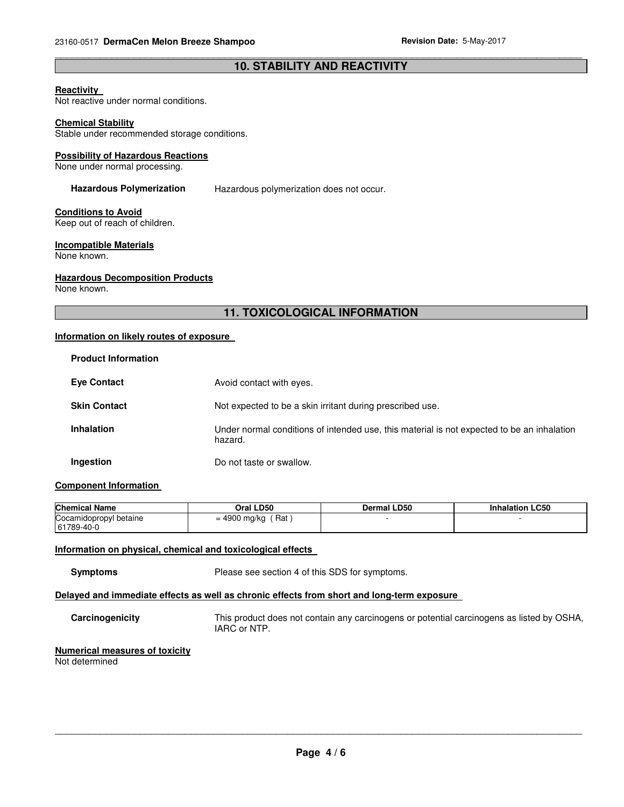# \_\_\_\_\_\_\_\_\_\_\_\_\_\_\_\_\_\_\_\_\_\_\_\_\_\_\_\_\_\_\_\_\_\_\_\_\_\_\_\_\_\_\_\_\_\_\_\_\_\_\_\_\_\_\_\_\_\_\_\_\_\_\_\_\_\_\_\_\_\_\_\_\_\_\_\_\_\_\_\_\_\_\_\_\_\_\_\_\_\_\_\_\_ **10. STABILITY AND REACTIVITY**

#### **Reactivity**

Not reactive under normal conditions.

#### **Chemical Stability**

Stable under recommended storage conditions.

#### **Possibility of Hazardous Reactions**

None under normal processing.

**Hazardous Polymerization** Hazardous polymerization does not occur.

# **Conditions to Avoid**

Keep out of reach of children.

# **Incompatible Materials**

None known.

#### **Hazardous Decomposition Products**

None known.

# **11. TOXICOLOGICAL INFORMATION**

# **Information on likely routes of exposure**

| <b>Product Information</b> |                                                                                                       |
|----------------------------|-------------------------------------------------------------------------------------------------------|
| <b>Eve Contact</b>         | Avoid contact with eyes.                                                                              |
| <b>Skin Contact</b>        | Not expected to be a skin irritant during prescribed use.                                             |
| <b>Inhalation</b>          | Under normal conditions of intended use, this material is not expected to be an inhalation<br>hazard. |
| Ingestion                  | Do not taste or swallow.                                                                              |

# **Component Information**

| <b>Chemical Name</b>   | Oral LD50           | <b>Dermal LD50</b> | <b>Inhalation LC50</b> |
|------------------------|---------------------|--------------------|------------------------|
| Cocamidopropyl betaine | Rat<br>= 4900 mg/kg |                    |                        |
| 61789-40-0             |                     |                    |                        |

# **Information on physical, chemical and toxicological effects**

**Symptoms** Please see section 4 of this SDS for symptoms.

# **Delayed and immediate effects as well as chronic effects from short and long-term exposure**

**Carcinogenicity** This product does not contain any carcinogens or potential carcinogens as listed by OSHA, IARC or NTP.

# **Numerical measures of toxicity**

Not determined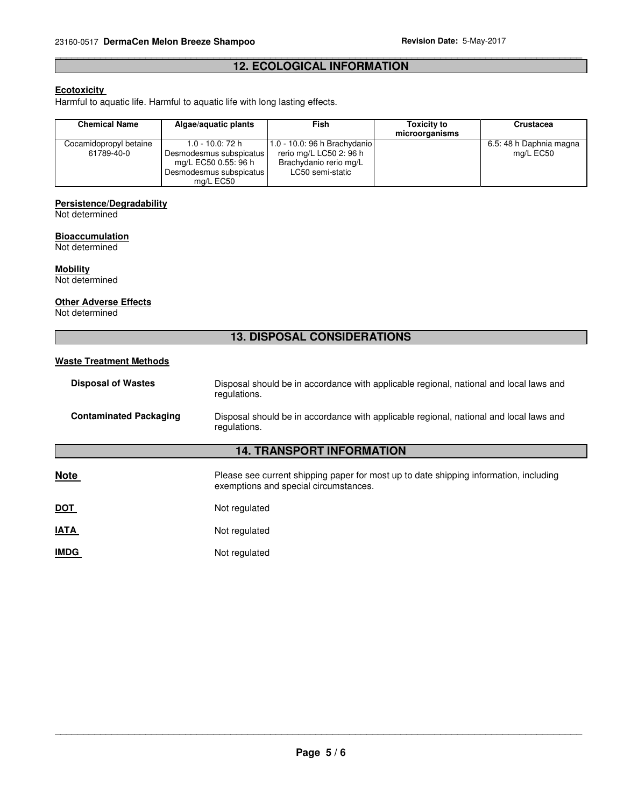# \_\_\_\_\_\_\_\_\_\_\_\_\_\_\_\_\_\_\_\_\_\_\_\_\_\_\_\_\_\_\_\_\_\_\_\_\_\_\_\_\_\_\_\_\_\_\_\_\_\_\_\_\_\_\_\_\_\_\_\_\_\_\_\_\_\_\_\_\_\_\_\_\_\_\_\_\_\_\_\_\_\_\_\_\_\_\_\_\_\_\_\_\_ **12. ECOLOGICAL INFORMATION**

# **Ecotoxicity**

Harmful to aquatic life. Harmful to aquatic life with long lasting effects.

| <b>Chemical Name</b>   | Algae/aguatic plants                                                                    | Fish                                                                  | <b>Toxicity to</b><br>microorganisms | <b>Crustacea</b>        |
|------------------------|-----------------------------------------------------------------------------------------|-----------------------------------------------------------------------|--------------------------------------|-------------------------|
| Cocamidopropyl betaine | 1.0 - 10.0: 72 h                                                                        | $1.0 - 10.0$ : 96 h Brachydanio                                       |                                      | 6.5: 48 h Daphnia magna |
| 61789-40-0             | Desmodesmus subspicatus<br>mg/L EC50 0.55: 96 h<br>Desmodesmus subspicatus<br>mg/L EC50 | rerio mg/L LC50 2: 96 h<br>Brachydanio rerio mg/L<br>LC50 semi-static |                                      | mg/L EC50               |

# **Persistence/Degradability**

Not determined

#### **Bioaccumulation**

Not determined

# **Mobility**

Not determined

# **Other Adverse Effects**

Not determined

# **13. DISPOSAL CONSIDERATIONS**

# **Waste Treatment Methods**

| <b>Disposal of Wastes</b>        | Disposal should be in accordance with applicable regional, national and local laws and<br>regulations. |  |
|----------------------------------|--------------------------------------------------------------------------------------------------------|--|
| <b>Contaminated Packaging</b>    | Disposal should be in accordance with applicable regional, national and local laws and<br>regulations. |  |
| <b>14. TRANSPORT INFORMATION</b> |                                                                                                        |  |

# **Note Please see current shipping paper for most up to date shipping information, including in the shipping information, including** exemptions and special circumstances.

| <b>DOT</b> | Not regulated |
|------------|---------------|
|------------|---------------|

| <b>IATA</b> | Not regulated |
|-------------|---------------|
|-------------|---------------|

**IMDG** Not regulated